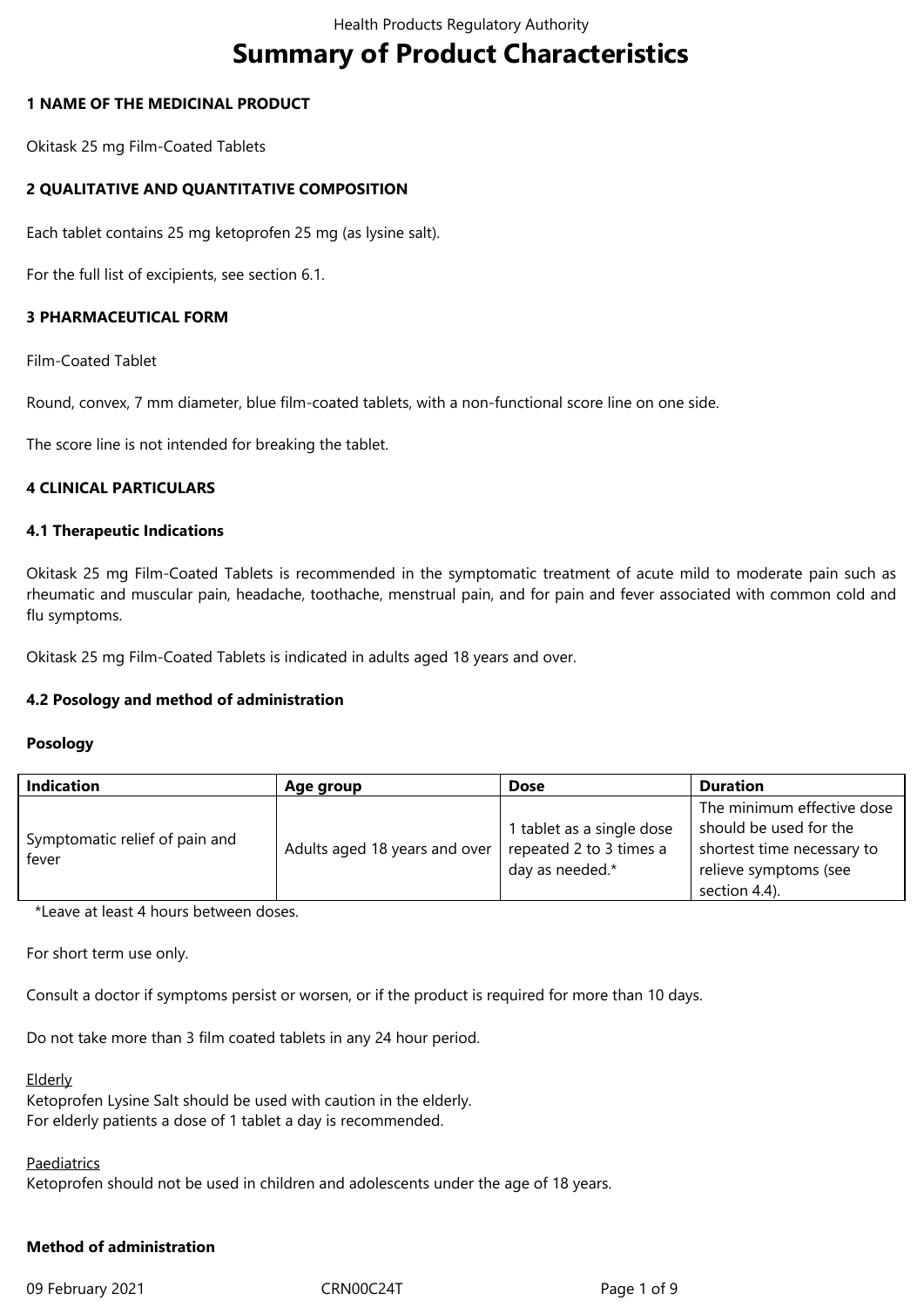# **Summary of Product Characteristics**

## **1 NAME OF THE MEDICINAL PRODUCT**

Okitask 25 mg Film-Coated Tablets

## **2 QUALITATIVE AND QUANTITATIVE COMPOSITION**

Each tablet contains 25 mg ketoprofen 25 mg (as lysine salt).

For the full list of excipients, see section 6.1.

## **3 PHARMACEUTICAL FORM**

Film-Coated Tablet

Round, convex, 7 mm diameter, blue film-coated tablets, with a non-functional score line on one side.

The score line is not intended for breaking the tablet.

#### **4 CLINICAL PARTICULARS**

#### **4.1 Therapeutic Indications**

Okitask 25 mg Film-Coated Tablets is recommended in the symptomatic treatment of acute mild to moderate pain such as rheumatic and muscular pain, headache, toothache, menstrual pain, and for pain and fever associated with common cold and flu symptoms.

Okitask 25 mg Film-Coated Tablets is indicated in adults aged 18 years and over.

### **4.2 Posology and method of administration**

#### **Posology**

| <b>Indication</b>                       | Age group                     | <b>Dose</b>               | <b>Duration</b>            |
|-----------------------------------------|-------------------------------|---------------------------|----------------------------|
| Symptomatic relief of pain and<br>fever | Adults aged 18 years and over |                           | The minimum effective dose |
|                                         |                               | 1 tablet as a single dose | should be used for the     |
|                                         |                               | repeated 2 to 3 times a   | shortest time necessary to |
|                                         |                               | day as needed.*           | relieve symptoms (see      |
|                                         |                               |                           | section 4.4).              |

\*Leave at least 4 hours between doses.

For short term use only.

Consult a doctor if symptoms persist or worsen, or if the product is required for more than 10 days.

Do not take more than 3 film coated tablets in any 24 hour period.

#### Elderly

Ketoprofen Lysine Salt should be used with caution in the elderly. For elderly patients a dose of 1 tablet a day is recommended.

#### Paediatrics

Ketoprofen should not be used in children and adolescents under the age of 18 years.

# **Method of administration**

09 February 2021 **CRN00C24T** CRN00C24T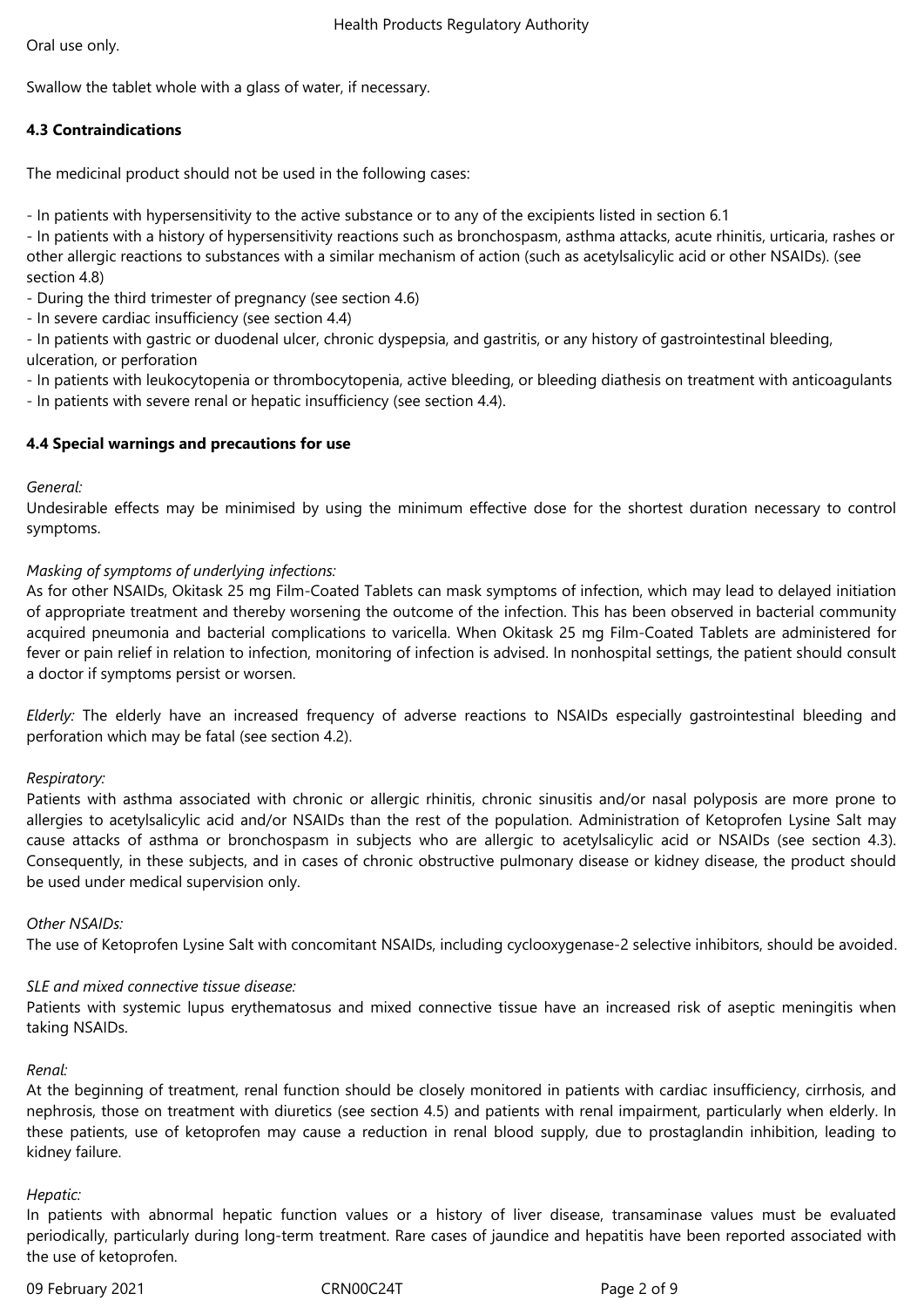Swallow the tablet whole with a glass of water, if necessary.

# **4.3 Contraindications**

The medicinal product should not be used in the following cases:

- In patients with hypersensitivity to the active substance or to any of the excipients listed in section 6.1

- In patients with a history of hypersensitivity reactions such as bronchospasm, asthma attacks, acute rhinitis, urticaria, rashes or other allergic reactions to substances with a similar mechanism of action (such as acetylsalicylic acid or other NSAIDs). (see section 4.8)

- During the third trimester of pregnancy (see section 4.6)

- In severe cardiac insufficiency (see section 4.4)

- In patients with gastric or duodenal ulcer, chronic dyspepsia, and gastritis, or any history of gastrointestinal bleeding, ulceration, or perforation

- In patients with leukocytopenia or thrombocytopenia, active bleeding, or bleeding diathesis on treatment with anticoagulants

- In patients with severe renal or hepatic insufficiency (see section 4.4).

# **4.4 Special warnings and precautions for use**

# *General:*

Undesirable effects may be minimised by using the minimum effective dose for the shortest duration necessary to control symptoms.

# *Masking of symptoms of underlying infections:*

As for other NSAIDs, Okitask 25 mg Film-Coated Tablets can mask symptoms of infection, which may lead to delayed initiation of appropriate treatment and thereby worsening the outcome of the infection. This has been observed in bacterial community acquired pneumonia and bacterial complications to varicella. When Okitask 25 mg Film-Coated Tablets are administered for fever or pain relief in relation to infection, monitoring of infection is advised. In nonhospital settings, the patient should consult a doctor if symptoms persist or worsen.

*Elderly:* The elderly have an increased frequency of adverse reactions to NSAIDs especially gastrointestinal bleeding and perforation which may be fatal (see section 4.2).

# *Respiratory:*

Patients with asthma associated with chronic or allergic rhinitis, chronic sinusitis and/or nasal polyposis are more prone to allergies to acetylsalicylic acid and/or NSAIDs than the rest of the population. Administration of Ketoprofen Lysine Salt may cause attacks of asthma or bronchospasm in subjects who are allergic to acetylsalicylic acid or NSAIDs (see section 4.3). Consequently, in these subjects, and in cases of chronic obstructive pulmonary disease or kidney disease, the product should be used under medical supervision only.

# *Other NSAIDs:*

The use of Ketoprofen Lysine Salt with concomitant NSAIDs, including cyclooxygenase-2 selective inhibitors, should be avoided*.*

# *SLE and mixed connective tissue disease:*

Patients with systemic lupus erythematosus and mixed connective tissue have an increased risk of aseptic meningitis when taking NSAIDs.

### *Renal:*

At the beginning of treatment, renal function should be closely monitored in patients with cardiac insufficiency, cirrhosis, and nephrosis, those on treatment with diuretics (see section 4.5) and patients with renal impairment, particularly when elderly. In these patients, use of ketoprofen may cause a reduction in renal blood supply, due to prostaglandin inhibition, leading to kidney failure.

# *Hepatic:*

In patients with abnormal hepatic function values or a history of liver disease, transaminase values must be evaluated periodically, particularly during long-term treatment. Rare cases of jaundice and hepatitis have been reported associated with the use of ketoprofen.

09 February 2021 CRN00C24T Page 2 of 9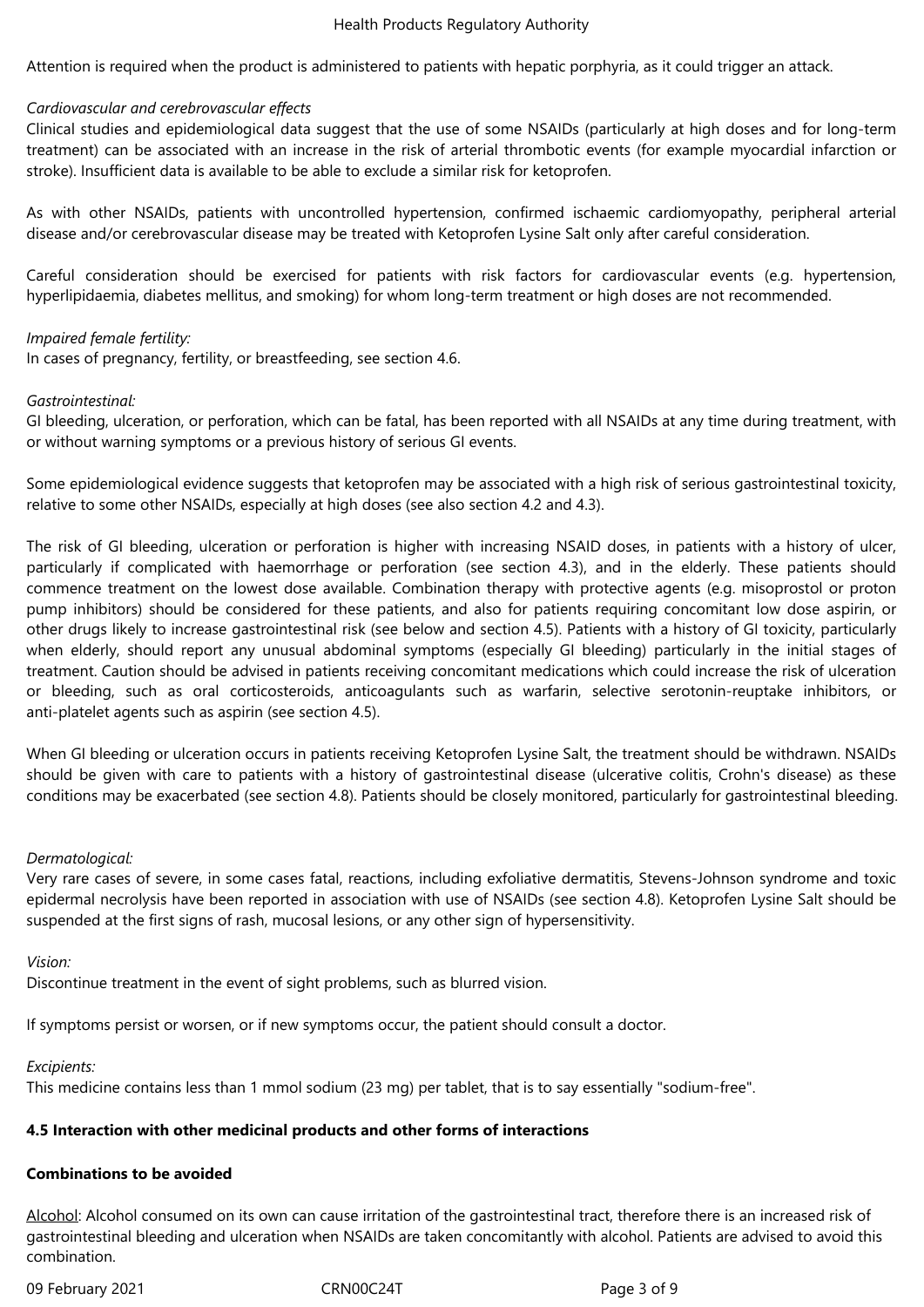Attention is required when the product is administered to patients with hepatic porphyria, as it could trigger an attack.

#### *Cardiovascular and cerebrovascular effects*

Clinical studies and epidemiological data suggest that the use of some NSAIDs (particularly at high doses and for long-term treatment) can be associated with an increase in the risk of arterial thrombotic events (for example myocardial infarction or stroke). Insufficient data is available to be able to exclude a similar risk for ketoprofen.

As with other NSAIDs, patients with uncontrolled hypertension, confirmed ischaemic cardiomyopathy, peripheral arterial disease and/or cerebrovascular disease may be treated with Ketoprofen Lysine Salt only after careful consideration.

Careful consideration should be exercised for patients with risk factors for cardiovascular events (e.g. hypertension, hyperlipidaemia, diabetes mellitus, and smoking) for whom long-term treatment or high doses are not recommended.

#### *Impaired female fertility:*

In cases of pregnancy, fertility, or breastfeeding, see section 4.6.

#### *Gastrointestinal:*

GI bleeding, ulceration, or perforation, which can be fatal, has been reported with all NSAIDs at any time during treatment, with or without warning symptoms or a previous history of serious GI events.

Some epidemiological evidence suggests that ketoprofen may be associated with a high risk of serious gastrointestinal toxicity, relative to some other NSAIDs, especially at high doses (see also section 4.2 and 4.3).

The risk of GI bleeding, ulceration or perforation is higher with increasing NSAID doses, in patients with a history of ulcer, particularly if complicated with haemorrhage or perforation (see section 4.3), and in the elderly. These patients should commence treatment on the lowest dose available. Combination therapy with protective agents (e.g. misoprostol or proton pump inhibitors) should be considered for these patients, and also for patients requiring concomitant low dose aspirin, or other drugs likely to increase gastrointestinal risk (see below and section 4.5). Patients with a history of GI toxicity, particularly when elderly, should report any unusual abdominal symptoms (especially GI bleeding) particularly in the initial stages of treatment. Caution should be advised in patients receiving concomitant medications which could increase the risk of ulceration or bleeding, such as oral corticosteroids, anticoagulants such as warfarin, selective serotonin-reuptake inhibitors, or anti-platelet agents such as aspirin (see section 4.5).

When GI bleeding or ulceration occurs in patients receiving Ketoprofen Lysine Salt, the treatment should be withdrawn. NSAIDs should be given with care to patients with a history of gastrointestinal disease (ulcerative colitis, Crohn's disease) as these conditions may be exacerbated (see section 4.8). Patients should be closely monitored, particularly for gastrointestinal bleeding.

### *Dermatological:*

Very rare cases of severe, in some cases fatal, reactions, including exfoliative dermatitis, Stevens-Johnson syndrome and toxic epidermal necrolysis have been reported in association with use of NSAIDs (see section 4.8). Ketoprofen Lysine Salt should be suspended at the first signs of rash, mucosal lesions, or any other sign of hypersensitivity.

#### *Vision:*

Discontinue treatment in the event of sight problems, such as blurred vision.

If symptoms persist or worsen, or if new symptoms occur, the patient should consult a doctor.

#### *Excipients:*

This medicine contains less than 1 mmol sodium (23 mg) per tablet, that is to say essentially "sodium-free".

### **4.5 Interaction with other medicinal products and other forms of interactions**

#### **Combinations to be avoided**

Alcohol: Alcohol consumed on its own can cause irritation of the gastrointestinal tract, therefore there is an increased risk of gastrointestinal bleeding and ulceration when NSAIDs are taken concomitantly with alcohol. Patients are advised to avoid this combination.

09 February 2021 **CRN00C24T** CRN00C24T Page 3 of 9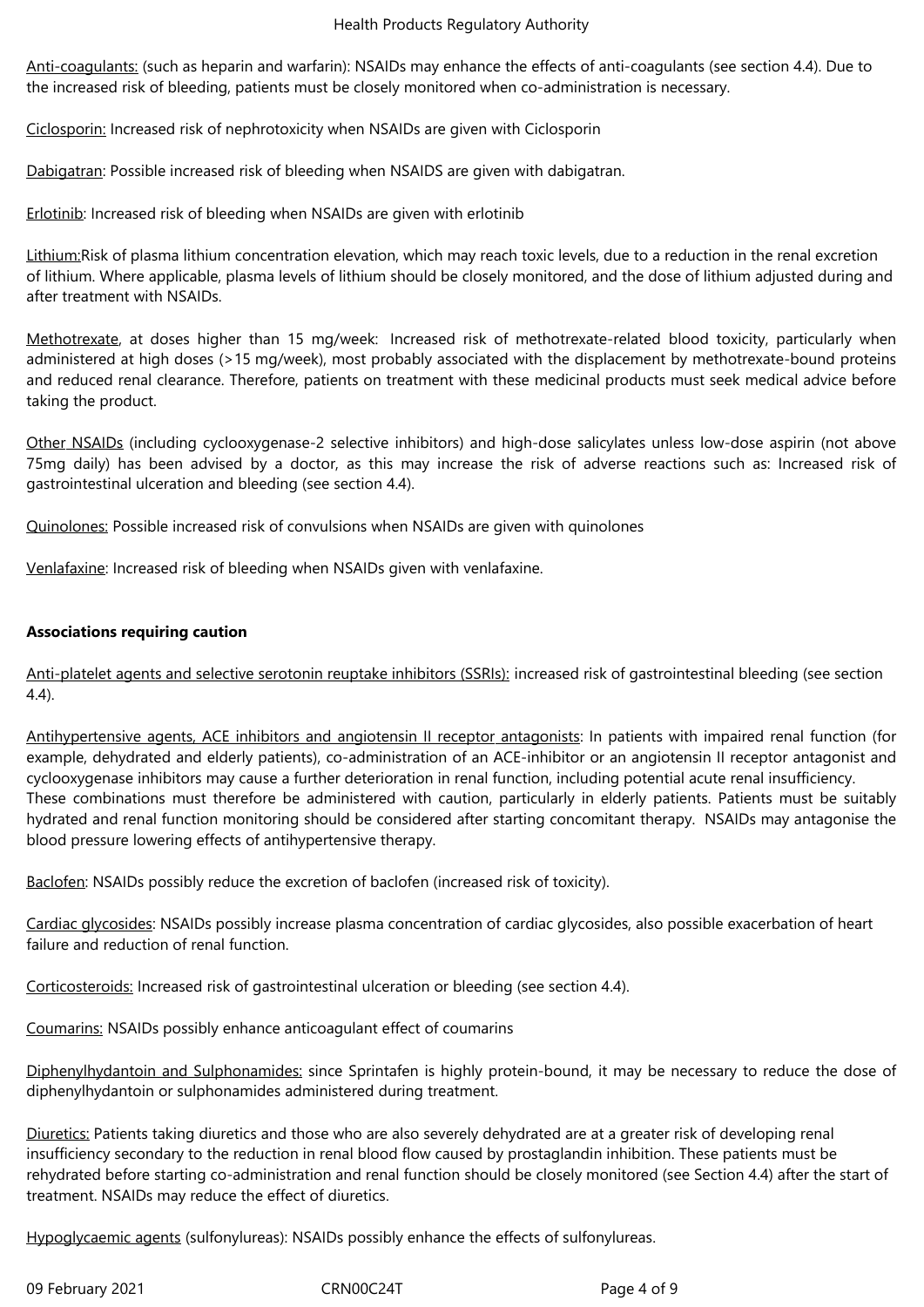Anti-coagulants: (such as heparin and warfarin): NSAIDs may enhance the effects of anti-coagulants (see section 4.4). Due to the increased risk of bleeding, patients must be closely monitored when co-administration is necessary.

Ciclosporin: Increased risk of nephrotoxicity when NSAIDs are given with Ciclosporin

Dabigatran: Possible increased risk of bleeding when NSAIDS are given with dabigatran.

Erlotinib: Increased risk of bleeding when NSAIDs are given with erlotinib

Lithium:Risk of plasma lithium concentration elevation, which may reach toxic levels, due to a reduction in the renal excretion of lithium. Where applicable, plasma levels of lithium should be closely monitored, and the dose of lithium adjusted during and after treatment with NSAIDs.

Methotrexate, at doses higher than 15 mg/week: Increased risk of methotrexate-related blood toxicity, particularly when administered at high doses (>15 mg/week), most probably associated with the displacement by methotrexate-bound proteins and reduced renal clearance. Therefore, patients on treatment with these medicinal products must seek medical advice before taking the product.

Other NSAIDs (including cyclooxygenase-2 selective inhibitors) and high-dose salicylates unless low-dose aspirin (not above 75mg daily) has been advised by a doctor, as this may increase the risk of adverse reactions such as: Increased risk of gastrointestinal ulceration and bleeding (see section 4.4).

Quinolones: Possible increased risk of convulsions when NSAIDs are given with quinolones

Venlafaxine: Increased risk of bleeding when NSAIDs given with venlafaxine.

## **Associations requiring caution**

Anti-platelet agents and selective serotonin reuptake inhibitors (SSRIs): increased risk of gastrointestinal bleeding (see section 4.4).

Antihypertensive agents, ACE inhibitors and angiotensin II receptor antagonists: In patients with impaired renal function (for example, dehydrated and elderly patients), co-administration of an ACE-inhibitor or an angiotensin II receptor antagonist and cyclooxygenase inhibitors may cause a further deterioration in renal function, including potential acute renal insufficiency. These combinations must therefore be administered with caution, particularly in elderly patients. Patients must be suitably hydrated and renal function monitoring should be considered after starting concomitant therapy. NSAIDs may antagonise the blood pressure lowering effects of antihypertensive therapy.

Baclofen: NSAIDs possibly reduce the excretion of baclofen (increased risk of toxicity).

Cardiac glycosides: NSAIDs possibly increase plasma concentration of cardiac glycosides, also possible exacerbation of heart failure and reduction of renal function.

Corticosteroids: Increased risk of gastrointestinal ulceration or bleeding (see section 4.4).

Coumarins: NSAIDs possibly enhance anticoagulant effect of coumarins

Diphenylhydantoin and Sulphonamides: since Sprintafen is highly protein-bound, it may be necessary to reduce the dose of diphenylhydantoin or sulphonamides administered during treatment.

Diuretics: Patients taking diuretics and those who are also severely dehydrated are at a greater risk of developing renal insufficiency secondary to the reduction in renal blood flow caused by prostaglandin inhibition. These patients must be rehydrated before starting co-administration and renal function should be closely monitored (see Section 4.4) after the start of treatment. NSAIDs may reduce the effect of diuretics.

Hypoglycaemic agents (sulfonylureas): NSAIDs possibly enhance the effects of sulfonylureas.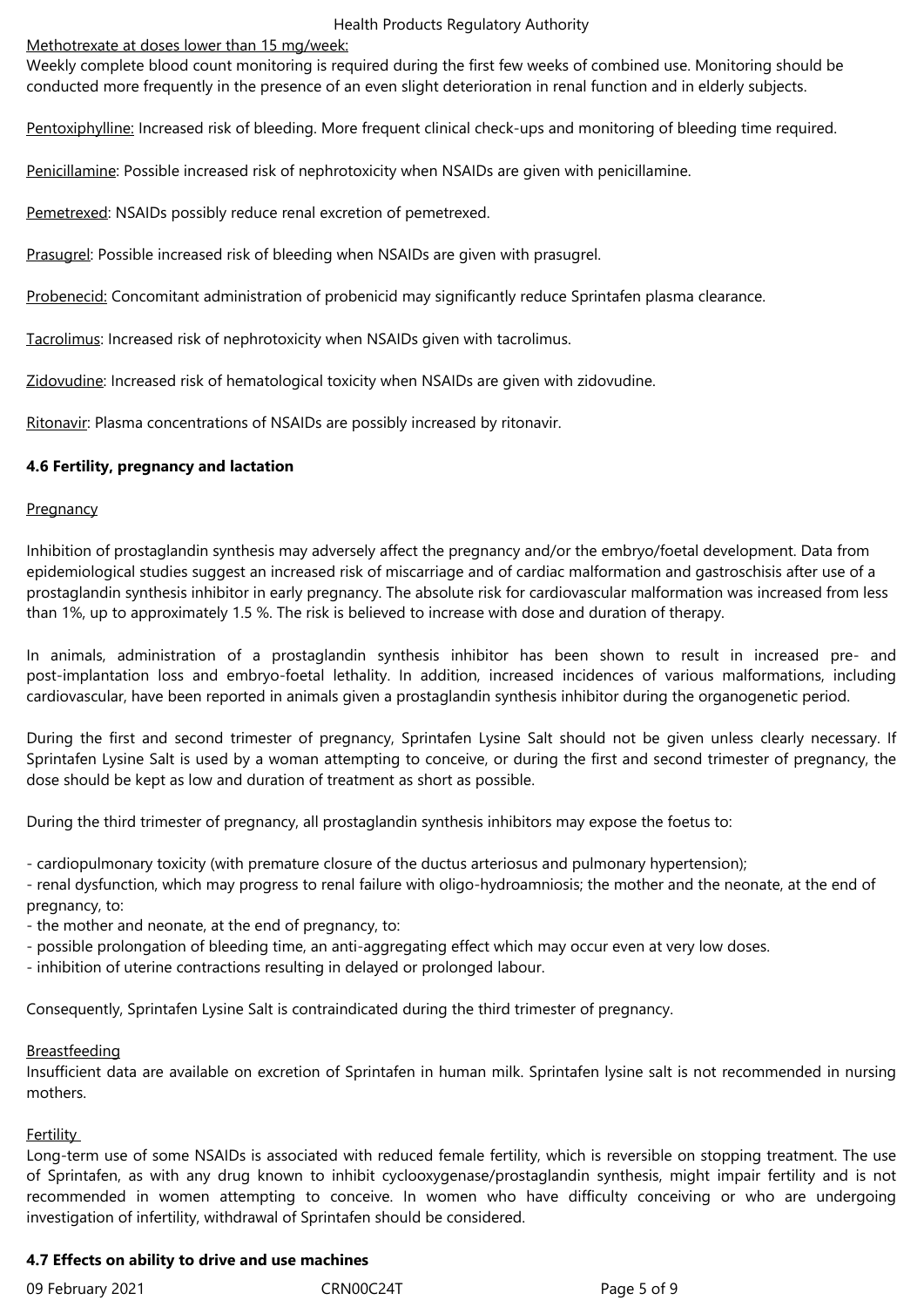Methotrexate at doses lower than 15 mg/week:

Weekly complete blood count monitoring is required during the first few weeks of combined use. Monitoring should be conducted more frequently in the presence of an even slight deterioration in renal function and in elderly subjects.

Pentoxiphylline: Increased risk of bleeding. More frequent clinical check-ups and monitoring of bleeding time required.

Penicillamine: Possible increased risk of nephrotoxicity when NSAIDs are given with penicillamine.

Pemetrexed: NSAIDs possibly reduce renal excretion of pemetrexed.

Prasugrel: Possible increased risk of bleeding when NSAIDs are given with prasugrel.

Probenecid: Concomitant administration of probenicid may significantly reduce Sprintafen plasma clearance.

Tacrolimus: Increased risk of nephrotoxicity when NSAIDs given with tacrolimus.

Zidovudine: Increased risk of hematological toxicity when NSAIDs are given with zidovudine.

Ritonavir: Plasma concentrations of NSAIDs are possibly increased by ritonavir.

## **4.6 Fertility, pregnancy and lactation**

## **Pregnancy**

Inhibition of prostaglandin synthesis may adversely affect the pregnancy and/or the embryo/foetal development. Data from epidemiological studies suggest an increased risk of miscarriage and of cardiac malformation and gastroschisis after use of a prostaglandin synthesis inhibitor in early pregnancy. The absolute risk for cardiovascular malformation was increased from less than 1%, up to approximately 1.5 %. The risk is believed to increase with dose and duration of therapy.

In animals, administration of a prostaglandin synthesis inhibitor has been shown to result in increased pre- and post-implantation loss and embryo-foetal lethality. In addition, increased incidences of various malformations, including cardiovascular, have been reported in animals given a prostaglandin synthesis inhibitor during the organogenetic period.

During the first and second trimester of pregnancy, Sprintafen Lysine Salt should not be given unless clearly necessary. If Sprintafen Lysine Salt is used by a woman attempting to conceive, or during the first and second trimester of pregnancy, the dose should be kept as low and duration of treatment as short as possible.

During the third trimester of pregnancy, all prostaglandin synthesis inhibitors may expose the foetus to:

- cardiopulmonary toxicity (with premature closure of the ductus arteriosus and pulmonary hypertension);

- renal dysfunction, which may progress to renal failure with oligo-hydroamniosis; the mother and the neonate, at the end of pregnancy, to:

- the mother and neonate, at the end of pregnancy, to:

- possible prolongation of bleeding time, an anti-aggregating effect which may occur even at very low doses.

- inhibition of uterine contractions resulting in delayed or prolonged labour.

Consequently, Sprintafen Lysine Salt is contraindicated during the third trimester of pregnancy.

### **Breastfeeding**

Insufficient data are available on excretion of Sprintafen in human milk. Sprintafen lysine salt is not recommended in nursing mothers.

# **Fertility**

Long-term use of some NSAIDs is associated with reduced female fertility, which is reversible on stopping treatment. The use of Sprintafen, as with any drug known to inhibit cyclooxygenase/prostaglandin synthesis, might impair fertility and is not recommended in women attempting to conceive. In women who have difficulty conceiving or who are undergoing investigation of infertility, withdrawal of Sprintafen should be considered.

# **4.7 Effects on ability to drive and use machines**

09 February 2021 **CRN00C24T** CRN00C24T Page 5 of 9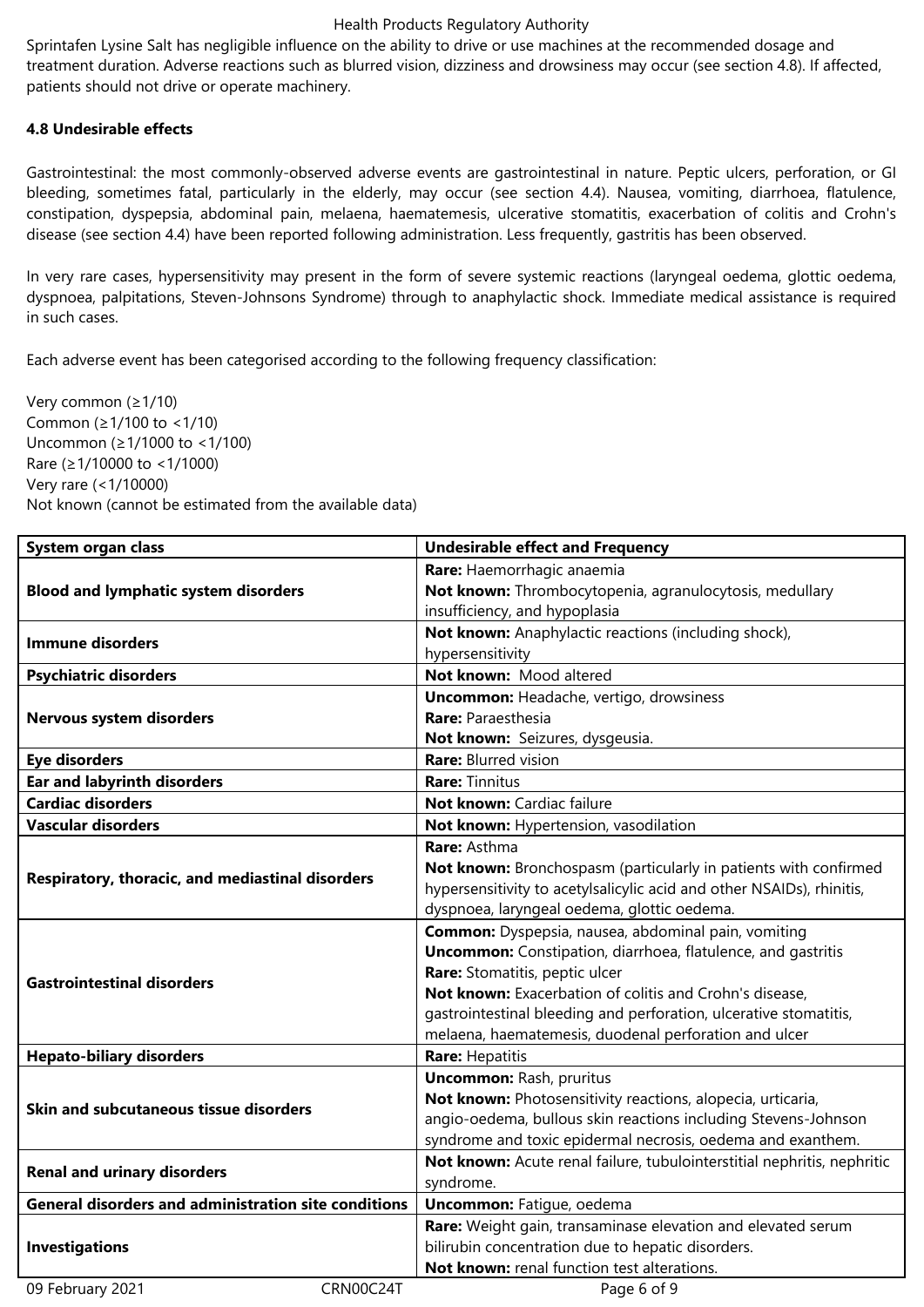Sprintafen Lysine Salt has negligible influence on the ability to drive or use machines at the recommended dosage and treatment duration. Adverse reactions such as blurred vision, dizziness and drowsiness may occur (see section 4.8). If affected, patients should not drive or operate machinery.

## **4.8 Undesirable effects**

Gastrointestinal: the most commonly-observed adverse events are gastrointestinal in nature. Peptic ulcers, perforation, or GI bleeding, sometimes fatal, particularly in the elderly, may occur (see section 4.4). Nausea, vomiting, diarrhoea, flatulence, constipation, dyspepsia, abdominal pain, melaena, haematemesis, ulcerative stomatitis, exacerbation of colitis and Crohn's disease (see section 4.4) have been reported following administration. Less frequently, gastritis has been observed.

In very rare cases, hypersensitivity may present in the form of severe systemic reactions (laryngeal oedema, glottic oedema, dyspnoea, palpitations, Steven-Johnsons Syndrome) through to anaphylactic shock. Immediate medical assistance is required in such cases.

Each adverse event has been categorised according to the following frequency classification:

Very common (≥1/10) Common (≥1/100 to <1/10) Uncommon (≥1/1000 to <1/100) Rare (≥1/10000 to <1/1000) Very rare (<1/10000) Not known (cannot be estimated from the available data)

| System organ class                                          | <b>Undesirable effect and Frequency</b>                                 |  |  |
|-------------------------------------------------------------|-------------------------------------------------------------------------|--|--|
|                                                             | Rare: Haemorrhagic anaemia                                              |  |  |
| <b>Blood and lymphatic system disorders</b>                 | Not known: Thrombocytopenia, agranulocytosis, medullary                 |  |  |
|                                                             | insufficiency, and hypoplasia                                           |  |  |
| <b>Immune disorders</b>                                     | Not known: Anaphylactic reactions (including shock),                    |  |  |
|                                                             | hypersensitivity                                                        |  |  |
| <b>Psychiatric disorders</b>                                | Not known: Mood altered                                                 |  |  |
|                                                             | <b>Uncommon:</b> Headache, vertigo, drowsiness                          |  |  |
| Nervous system disorders                                    | <b>Rare: Paraesthesia</b>                                               |  |  |
|                                                             | Not known: Seizures, dysgeusia.                                         |  |  |
| <b>Eye disorders</b>                                        | <b>Rare: Blurred vision</b>                                             |  |  |
| <b>Ear and labyrinth disorders</b>                          | <b>Rare: Tinnitus</b>                                                   |  |  |
| <b>Cardiac disorders</b>                                    | Not known: Cardiac failure                                              |  |  |
| <b>Vascular disorders</b>                                   | Not known: Hypertension, vasodilation                                   |  |  |
|                                                             | Rare: Asthma                                                            |  |  |
|                                                             | Not known: Bronchospasm (particularly in patients with confirmed        |  |  |
| Respiratory, thoracic, and mediastinal disorders            | hypersensitivity to acetylsalicylic acid and other NSAIDs), rhinitis,   |  |  |
|                                                             | dyspnoea, laryngeal oedema, glottic oedema.                             |  |  |
|                                                             | <b>Common:</b> Dyspepsia, nausea, abdominal pain, vomiting              |  |  |
|                                                             | <b>Uncommon:</b> Constipation, diarrhoea, flatulence, and gastritis     |  |  |
| <b>Gastrointestinal disorders</b>                           | Rare: Stomatitis, peptic ulcer                                          |  |  |
|                                                             | Not known: Exacerbation of colitis and Crohn's disease,                 |  |  |
|                                                             | gastrointestinal bleeding and perforation, ulcerative stomatitis,       |  |  |
|                                                             | melaena, haematemesis, duodenal perforation and ulcer                   |  |  |
| <b>Hepato-biliary disorders</b>                             | Rare: Hepatitis                                                         |  |  |
|                                                             | <b>Uncommon: Rash, pruritus</b>                                         |  |  |
| Skin and subcutaneous tissue disorders                      | Not known: Photosensitivity reactions, alopecia, urticaria,             |  |  |
|                                                             | angio-oedema, bullous skin reactions including Stevens-Johnson          |  |  |
|                                                             | syndrome and toxic epidermal necrosis, oedema and exanthem.             |  |  |
| <b>Renal and urinary disorders</b>                          | Not known: Acute renal failure, tubulointerstitial nephritis, nephritic |  |  |
|                                                             | syndrome.                                                               |  |  |
| <b>General disorders and administration site conditions</b> | <b>Uncommon:</b> Fatigue, oedema                                        |  |  |
|                                                             | Rare: Weight gain, transaminase elevation and elevated serum            |  |  |
| <b>Investigations</b>                                       | bilirubin concentration due to hepatic disorders.                       |  |  |
|                                                             | Not known: renal function test alterations.                             |  |  |
| CRN00C24T<br>09 February 2021                               | Page 6 of 9                                                             |  |  |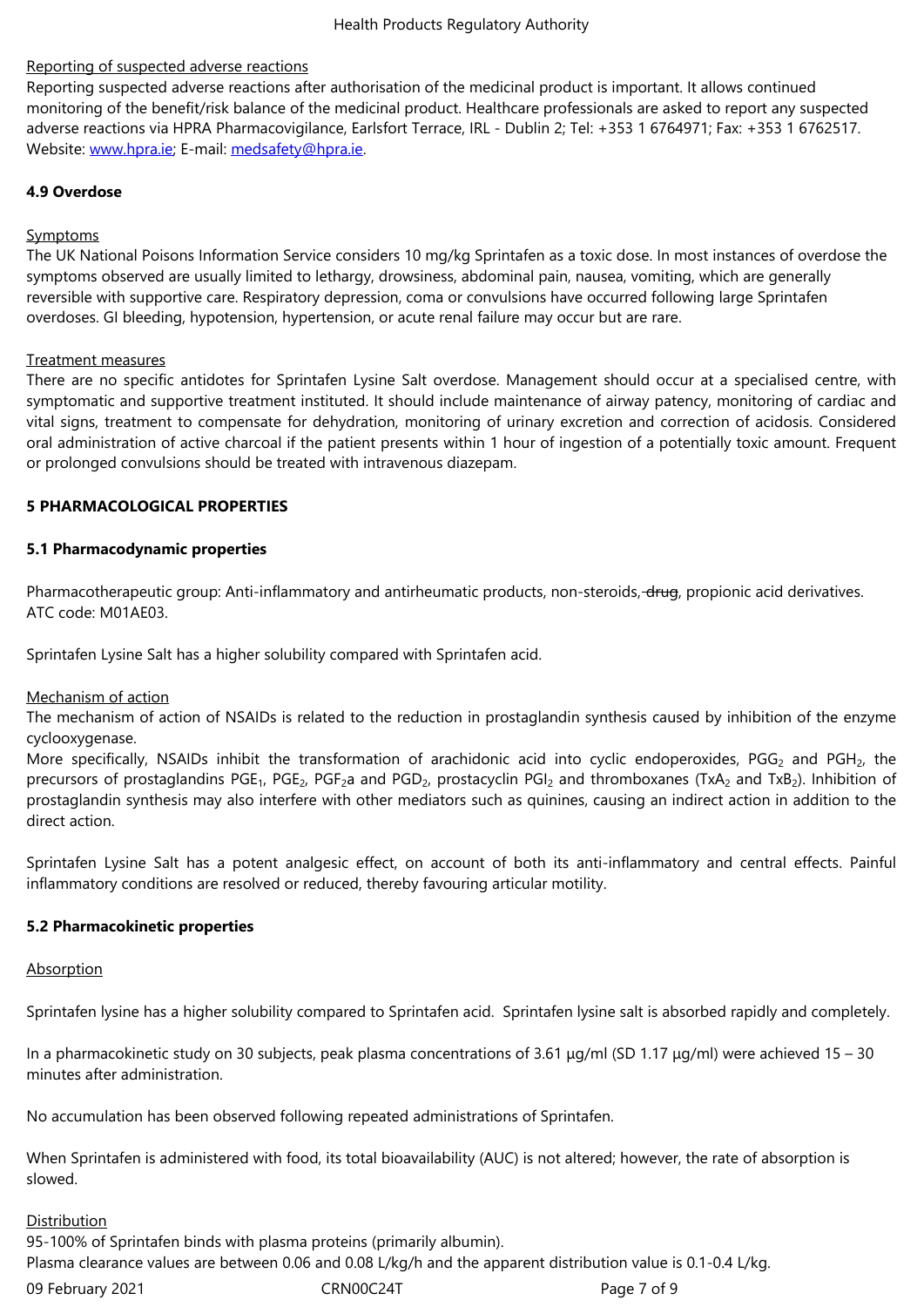Reporting suspected adverse reactions after authorisation of the medicinal product is important. It allows continued monitoring of the benefit/risk balance of the medicinal product. Healthcare professionals are asked to report any suspected adverse reactions via HPRA Pharmacovigilance, Earlsfort Terrace, IRL - Dublin 2; Tel: +353 1 6764971; Fax: +353 1 6762517. Website: www.hpra.ie; E-mail: medsafety@hpra.ie.

## **4.9 Overdose**

## Sympto[ms](http://www.hpra.ie/)

The UK National Poisons Information Service considers 10 mg/kg Sprintafen as a toxic dose. In most instances of overdose the symptoms observed are usually limited to lethargy, drowsiness, abdominal pain, nausea, vomiting, which are generally reversible with supportive care. Respiratory depression, coma or convulsions have occurred following large Sprintafen overdoses. GI bleeding, hypotension, hypertension, or acute renal failure may occur but are rare.

## Treatment measures

There are no specific antidotes for Sprintafen Lysine Salt overdose. Management should occur at a specialised centre, with symptomatic and supportive treatment instituted. It should include maintenance of airway patency, monitoring of cardiac and vital signs, treatment to compensate for dehydration, monitoring of urinary excretion and correction of acidosis. Considered oral administration of active charcoal if the patient presents within 1 hour of ingestion of a potentially toxic amount. Frequent or prolonged convulsions should be treated with intravenous diazepam.

## **5 PHARMACOLOGICAL PROPERTIES**

## **5.1 Pharmacodynamic properties**

Pharmacotherapeutic group: Anti-inflammatory and antirheumatic products, non-steroids, drug, propionic acid derivatives. ATC code: M01AE03.

Sprintafen Lysine Salt has a higher solubility compared with Sprintafen acid.

## Mechanism of action

The mechanism of action of NSAIDs is related to the reduction in prostaglandin synthesis caused by inhibition of the enzyme cyclooxygenase.

More specifically, NSAIDs inhibit the transformation of arachidonic acid into cyclic endoperoxides, PGG<sub>2</sub> and PGH<sub>2</sub>, the precursors of prostaglandins PGE<sub>1</sub>, PGE<sub>2</sub>, PGF<sub>2</sub>a and PGD<sub>2</sub>, prostacyclin PGI<sub>2</sub> and thromboxanes (TxA<sub>2</sub> and TxB<sub>2</sub>). Inhibition of prostaglandin synthesis may also interfere with other mediators such as quinines, causing an indirect action in addition to the direct action.

Sprintafen Lysine Salt has a potent analgesic effect, on account of both its anti-inflammatory and central effects. Painful inflammatory conditions are resolved or reduced, thereby favouring articular motility.

# **5.2 Pharmacokinetic properties**

### **Absorption**

Sprintafen lysine has a higher solubility compared to Sprintafen acid. Sprintafen lysine salt is absorbed rapidly and completely.

In a pharmacokinetic study on 30 subjects, peak plasma concentrations of 3.61 μg/ml (SD 1.17 μg/ml) were achieved 15 – 30 minutes after administration.

No accumulation has been observed following repeated administrations of Sprintafen.

When Sprintafen is administered with food, its total bioavailability (AUC) is not altered; however, the rate of absorption is slowed.

### **Distribution**

95-100% of Sprintafen binds with plasma proteins (primarily albumin). Plasma clearance values are between 0.06 and 0.08 L/kg/h and the apparent distribution value is 0.1-0.4 L/kg.

09 February 2021 **CRNOOC24T** CRNOOC24T Page 7 of 9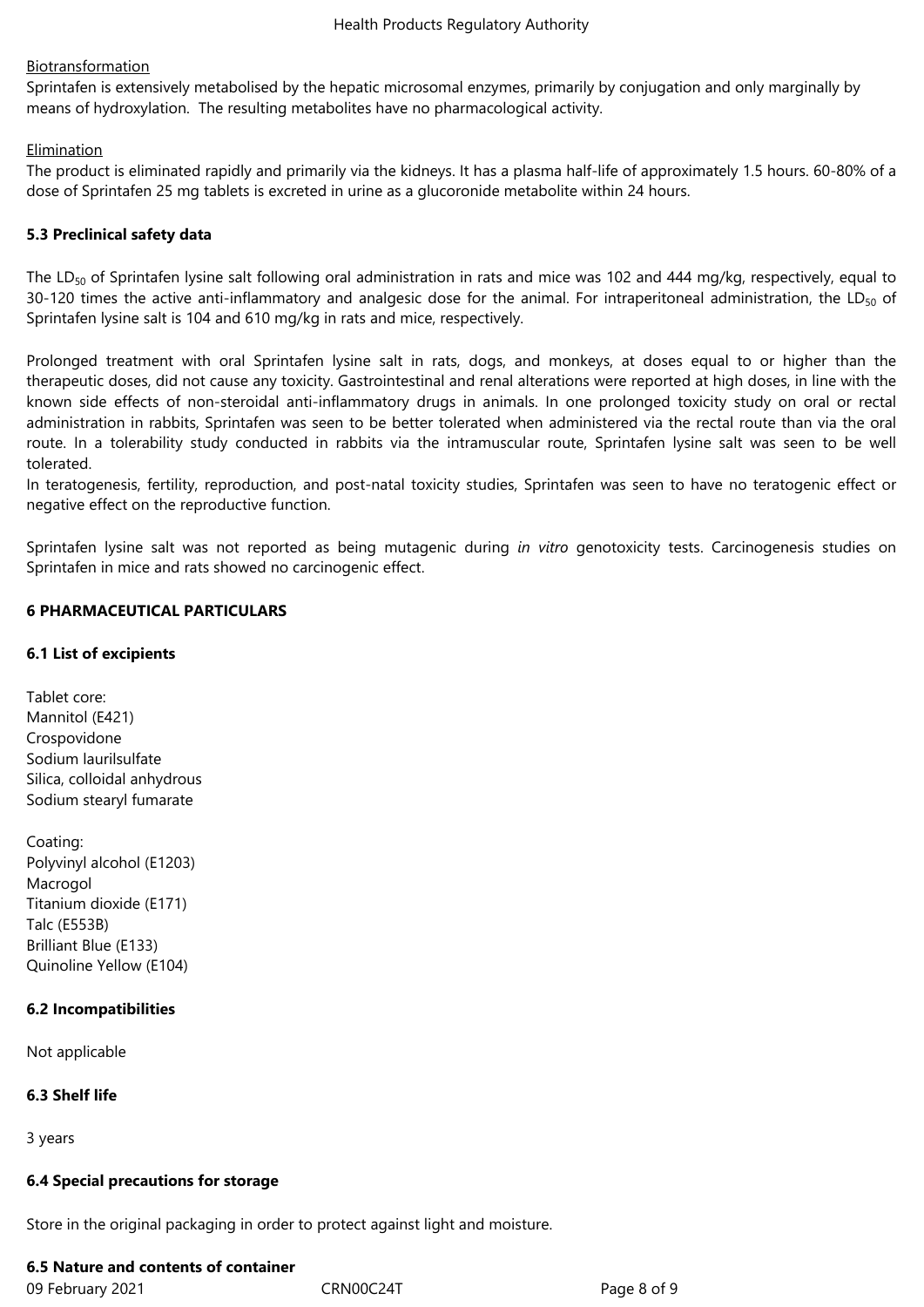## **Biotransformation**

Sprintafen is extensively metabolised by the hepatic microsomal enzymes, primarily by conjugation and only marginally by means of hydroxylation. The resulting metabolites have no pharmacological activity.

## **Elimination**

The product is eliminated rapidly and primarily via the kidneys. It has a plasma half-life of approximately 1.5 hours. 60-80% of a dose of Sprintafen 25 mg tablets is excreted in urine as a glucoronide metabolite within 24 hours.

## **5.3 Preclinical safety data**

The LD<sub>50</sub> of Sprintafen lysine salt following oral administration in rats and mice was 102 and 444 mg/kg, respectively, equal to 30-120 times the active anti-inflammatory and analgesic dose for the animal. For intraperitoneal administration, the LD $_{50}$  of Sprintafen lysine salt is 104 and 610 mg/kg in rats and mice, respectively.

Prolonged treatment with oral Sprintafen lysine salt in rats, dogs, and monkeys, at doses equal to or higher than the therapeutic doses, did not cause any toxicity. Gastrointestinal and renal alterations were reported at high doses, in line with the known side effects of non-steroidal anti-inflammatory drugs in animals. In one prolonged toxicity study on oral or rectal administration in rabbits, Sprintafen was seen to be better tolerated when administered via the rectal route than via the oral route. In a tolerability study conducted in rabbits via the intramuscular route, Sprintafen lysine salt was seen to be well tolerated.

In teratogenesis, fertility, reproduction, and post-natal toxicity studies, Sprintafen was seen to have no teratogenic effect or negative effect on the reproductive function.

Sprintafen lysine salt was not reported as being mutagenic during *in vitro* genotoxicity tests. Carcinogenesis studies on Sprintafen in mice and rats showed no carcinogenic effect.

## **6 PHARMACEUTICAL PARTICULARS**

## **6.1 List of excipients**

Tablet core: Mannitol (E421) Crospovidone Sodium laurilsulfate Silica, colloidal anhydrous Sodium stearyl fumarate

Coating: Polyvinyl alcohol (E1203) Macrogol Titanium dioxide (E171) Talc (E553B) Brilliant Blue (E133) Quinoline Yellow (E104)

### **6.2 Incompatibilities**

Not applicable

### **6.3 Shelf life**

3 years

### **6.4 Special precautions for storage**

Store in the original packaging in order to protect against light and moisture.

### **6.5 Nature and contents of container**

09 February 2021 CRN00C24T Page 8 of 9